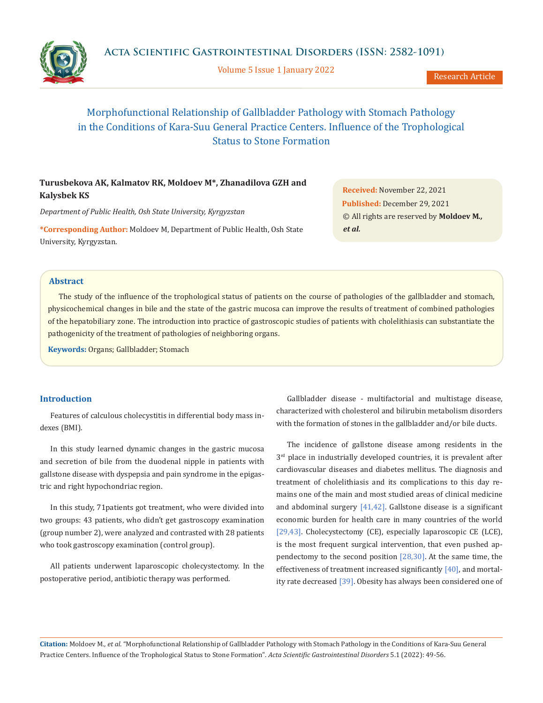

Volume 5 Issue 1 January 2022

# Morphofunctional Relationship of Gallbladder Pathology with Stomach Pathology in the Conditions of Kara-Suu General Practice Centers. Influence of the Trophological Status to Stone Formation

# **Turusbekova AK, Kalmatov RK, Moldoev M\*, Zhanadilova GZH and Kalysbek KS**

*Department of Public Health, Osh State University, Kyrgyzstan*

**\*Corresponding Author:** Moldoev M, Department of Public Health, Osh State University, Kyrgyzstan.

**Received:** November 22, 2021 **Published:** December 29, 2021 © All rights are reserved by **Moldoev M***., et al.*

#### **Abstract**

The study of the influence of the trophological status of patients on the course of pathologies of the gallbladder and stomach, physicochemical changes in bile and the state of the gastric mucosa can improve the results of treatment of combined pathologies of the hepatobiliary zone. The introduction into practice of gastroscopic studies of patients with cholelithiasis can substantiate the pathogenicity of the treatment of pathologies of neighboring organs.

**Keywords:** Organs; Gallbladder; Stomach

## **Introduction**

Features of calculous cholecystitis in differential body mass indexes (BMI).

In this study learned dynamic changes in the gastric mucosa and secretion of bile from the duodenal nipple in patients with gallstone disease with dyspepsia and pain syndrome in the epigastric and right hypochondriac region.

In this study, 71patients got treatment, who were divided into two groups: 43 patients, who didn't get gastroscopy examination (group number 2), were analyzed and contrasted with 28 patients who took gastroscopy examination (control group).

All patients underwent laparoscopic cholecystectomy. In the postoperative period, antibiotic therapy was performed.

Gallbladder disease - multifactorial and multistage disease, characterized with cholesterol and bilirubin metabolism disorders with the formation of stones in the gallbladder and/or bile ducts.

The incidence of gallstone disease among residents in the  $3<sup>rd</sup>$  place in industrially developed countries, it is prevalent after cardiovascular diseases and diabetes mellitus. The diagnosis and treatment of cholelithiasis and its complications to this day remains one of the main and most studied areas of clinical medicine and abdominal surgery [41,42]. Gallstone disease is a significant economic burden for health care in many countries of the world [29,43]. Cholecystectomy (CE), especially laparoscopic CE (LCE), is the most frequent surgical intervention, that even pushed appendectomy to the second position [28,30]. At the same time, the effectiveness of treatment increased significantly [40], and mortality rate decreased [39]. Obesity has always been considered one of

**Citation:** Moldoev M*., et al.* "Morphofunctional Relationship of Gallbladder Pathology with Stomach Pathology in the Conditions of Kara-Suu General Practice Centers. Influence of the Trophological Status to Stone Formation". *Acta Scientific Gastrointestinal Disorders* 5.1 (2022): 49-56.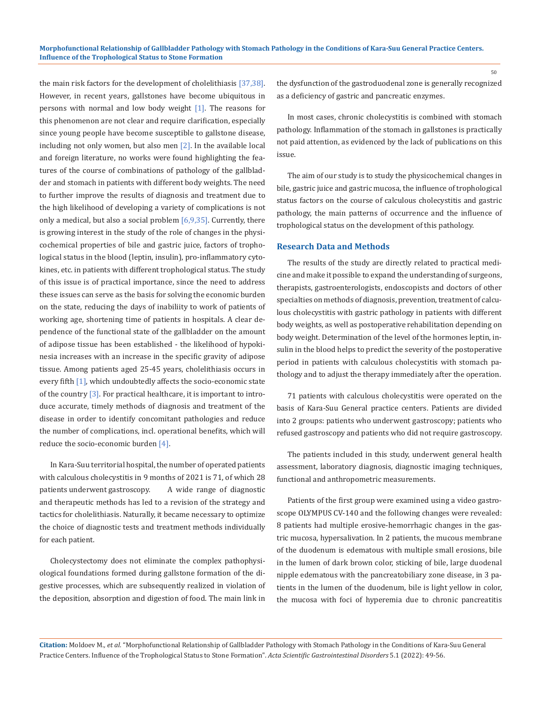the main risk factors for the development of cholelithiasis [37,38]. However, in recent years, gallstones have become ubiquitous in persons with normal and low body weight [1]. The reasons for this phenomenon are not clear and require clarification, especially since young people have become susceptible to gallstone disease, including not only women, but also men [2]. In the available local and foreign literature, no works were found highlighting the features of the course of combinations of pathology of the gallbladder and stomach in patients with different body weights. The need to further improve the results of diagnosis and treatment due to the high likelihood of developing a variety of complications is not only a medical, but also a social problem  $[6,9,35]$ . Currently, there is growing interest in the study of the role of changes in the physicochemical properties of bile and gastric juice, factors of trophological status in the blood (leptin, insulin), pro-inflammatory cytokines, etc. in patients with different trophological status. The study of this issue is of practical importance, since the need to address these issues can serve as the basis for solving the economic burden on the state, reducing the days of inabiliity to work of patients of working age, shortening time of patients in hospitals. A clear dependence of the functional state of the gallbladder on the amount of adipose tissue has been established - the likelihood of hypokinesia increases with an increase in the specific gravity of adipose tissue. Among patients aged 25-45 years, cholelithiasis occurs in every fifth [1], which undoubtedly affects the socio-economic state of the country [3]. For practical healthcare, it is important to introduce accurate, timely methods of diagnosis and treatment of the disease in order to identify concomitant pathologies and reduce the number of complications, incl. operational benefits, which will reduce the socio-economic burden [4].

In Kara-Suu territorial hospital, the number of operated patients with calculous cholecystitis in 9 months of 2021 is 71, of which 28 patients underwent gastroscopy. A wide range of diagnostic and therapeutic methods has led to a revision of the strategy and tactics for cholelithiasis. Naturally, it became necessary to optimize the choice of diagnostic tests and treatment methods individually for each patient.

Cholecystectomy does not eliminate the complex pathophysiological foundations formed during gallstone formation of the digestive processes, which are subsequently realized in violation of the deposition, absorption and digestion of food. The main link in

the dysfunction of the gastroduodenal zone is generally recognized as a deficiency of gastric and pancreatic enzymes.

In most cases, chronic cholecystitis is combined with stomach pathology. Inflammation of the stomach in gallstones is practically not paid attention, as evidenced by the lack of publications on this issue.

The aim of our study is to study the physicochemical changes in bile, gastric juice and gastric mucosa, the influence of trophological status factors on the course of calculous cholecystitis and gastric pathology, the main patterns of occurrence and the influence of trophological status on the development of this pathology.

#### **Research Data and Methods**

The results of the study are directly related to practical medicine and make it possible to expand the understanding of surgeons, therapists, gastroenterologists, endoscopists and doctors of other specialties on methods of diagnosis, prevention, treatment of calculous cholecystitis with gastric pathology in patients with different body weights, as well as postoperative rehabilitation depending on body weight. Determination of the level of the hormones leptin, insulin in the blood helps to predict the severity of the postoperative period in patients with calculous cholecystitis with stomach pathology and to adjust the therapy immediately after the operation.

71 patients with calculous cholecystitis were operated on the basis of Kara-Suu General practice centers. Patients are divided into 2 groups: patients who underwent gastroscopy; patients who refused gastroscopy and patients who did not require gastroscopy.

The patients included in this study, underwent general health assessment, laboratory diagnosis, diagnostic imaging techniques, functional and anthropometric measurements.

Patients of the first group were examined using a video gastroscope OLYMPUS CV-140 and the following changes were revealed: 8 patients had multiple erosive-hemorrhagic changes in the gastric mucosa, hypersalivation. In 2 patients, the mucous membrane of the duodenum is edematous with multiple small erosions, bile in the lumen of dark brown color, sticking of bile, large duodenal nipple edematous with the pancreatobiliary zone disease, in 3 patients in the lumen of the duodenum, bile is light yellow in color, the mucosa with foci of hyperemia due to chronic pancreatitis

**Citation:** Moldoev M*., et al.* "Morphofunctional Relationship of Gallbladder Pathology with Stomach Pathology in the Conditions of Kara-Suu General Practice Centers. Influence of the Trophological Status to Stone Formation". *Acta Scientific Gastrointestinal Disorders* 5.1 (2022): 49-56.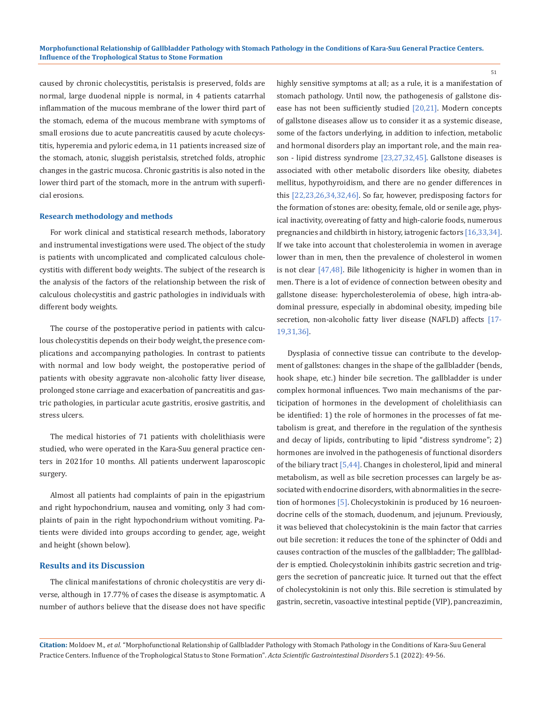caused by chronic cholecystitis, peristalsis is preserved, folds are normal, large duodenal nipple is normal, in 4 patients catarrhal inflammation of the mucous membrane of the lower third part of the stomach, edema of the mucous membrane with symptoms of small erosions due to acute pancreatitis caused by acute cholecystitis, hyperemia and pyloric edema, in 11 patients increased size of the stomach, atonic, sluggish peristalsis, stretched folds, atrophic changes in the gastric mucosa. Chronic gastritis is also noted in the lower third part of the stomach, more in the antrum with superficial erosions.

#### **Research methodology and methods**

For work clinical and statistical research methods, laboratory and instrumental investigations were used. The object of the study is patients with uncomplicated and complicated calculous cholecystitis with different body weights. The subject of the research is the analysis of the factors of the relationship between the risk of calculous cholecystitis and gastric pathologies in individuals with different body weights.

The course of the postoperative period in patients with calculous cholecystitis depends on their body weight, the presence complications and accompanying pathologies. In contrast to patients with normal and low body weight, the postoperative period of patients with obesity aggravate non-alcoholic fatty liver disease, prolonged stone carriage and exacerbation of pancreatitis and gastric pathologies, in particular acute gastritis, erosive gastritis, and stress ulcers.

The medical histories of 71 patients with cholelithiasis were studied, who were operated in the Kara-Suu general practice centers in 2021for 10 months. All patients underwent laparoscopic surgery.

Almost all patients had complaints of pain in the epigastrium and right hypochondrium, nausea and vomiting, only 3 had complaints of pain in the right hypochondrium without vomiting. Patients were divided into groups according to gender, age, weight and height (shown below).

#### **Results and its Discussion**

The clinical manifestations of chronic cholecystitis are very diverse, although in 17.77% of cases the disease is asymptomatic. A number of authors believe that the disease does not have specific highly sensitive symptoms at all; as a rule, it is a manifestation of stomach pathology. Until now, the pathogenesis of gallstone disease has not been sufficiently studied [20,21]. Modern concepts of gallstone diseases allow us to consider it as a systemic disease, some of the factors underlying, in addition to infection, metabolic and hormonal disorders play an important role, and the main reason - lipid distress syndrome [23,27,32,45]. Gallstone diseases is associated with other metabolic disorders like obesity, diabetes mellitus, hypothyroidism, and there are no gender differences in this [22,23,26,34,32,46]. So far, however, predisposing factors for the formation of stones are: obesity, female, old or senile age, physical inactivity, overeating of fatty and high-calorie foods, numerous pregnancies and childbirth in history, iatrogenic factors [16,33,34]. If we take into account that cholesterolemia in women in average lower than in men, then the prevalence of cholesterol in women is not clear [47,48]. Bile lithogenicity is higher in women than in men. There is a lot of evidence of connection between obesity and gallstone disease: hypercholesterolemia of obese, high intra-abdominal pressure, especially in abdominal obesity, impeding bile secretion, non-alcoholic fatty liver disease (NAFLD) affects [17- 19,31,36].

51

Dysplasia of connective tissue can contribute to the development of gallstones: changes in the shape of the gallbladder (bends, hook shape, etc.) hinder bile secretion. The gallbladder is under complex hormonal influences. Two main mechanisms of the participation of hormones in the development of cholelithiasis can be identified: 1) the role of hormones in the processes of fat metabolism is great, and therefore in the regulation of the synthesis and decay of lipids, contributing to lipid "distress syndrome"; 2) hormones are involved in the pathogenesis of functional disorders of the biliary tract [5,44]. Changes in cholesterol, lipid and mineral metabolism, as well as bile secretion processes can largely be associated with endocrine disorders, with abnormalities in the secretion of hormones [5]. Cholecystokinin is produced by 16 neuroendocrine cells of the stomach, duodenum, and jejunum. Previously, it was believed that cholecystokinin is the main factor that carries out bile secretion: it reduces the tone of the sphincter of Oddi and causes contraction of the muscles of the gallbladder; The gallbladder is emptied. Cholecystokinin inhibits gastric secretion and triggers the secretion of pancreatic juice. It turned out that the effect of cholecystokinin is not only this. Bile secretion is stimulated by gastrin, secretin, vasoactive intestinal peptide (VIP), pancreazimin,

**Citation:** Moldoev M*., et al.* "Morphofunctional Relationship of Gallbladder Pathology with Stomach Pathology in the Conditions of Kara-Suu General Practice Centers. Influence of the Trophological Status to Stone Formation". *Acta Scientific Gastrointestinal Disorders* 5.1 (2022): 49-56.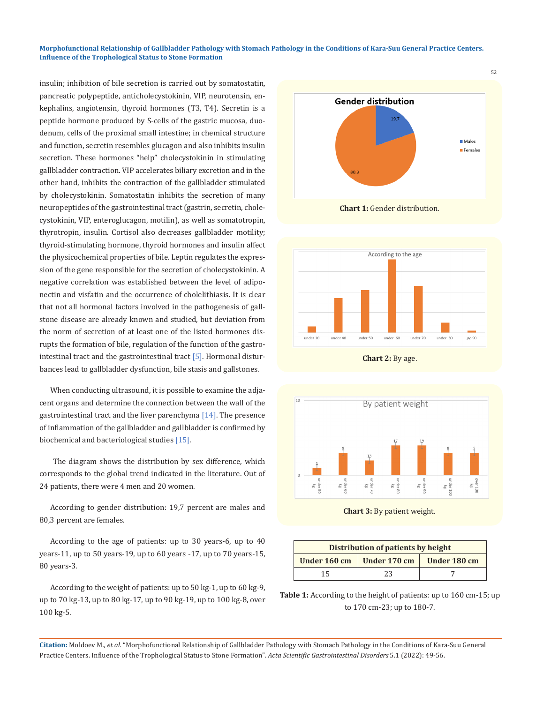#### **Morphofunctional Relationship of Gallbladder Pathology with Stomach Pathology in the Conditions of Kara-Suu General Practice Centers. Influence of the Trophological Status to Stone Formation**

insulin; inhibition of bile secretion is carried out by somatostatin, pancreatic polypeptide, anticholecystokinin, VIP, neurotensin, enkephalins, angiotensin, thyroid hormones (T3, T4). Secretin is a peptide hormone produced by S-cells of the gastric mucosa, duodenum, cells of the proximal small intestine; in chemical structure and function, secretin resembles glucagon and also inhibits insulin secretion. These hormones "help" cholecystokinin in stimulating gallbladder contraction. VIP accelerates biliary excretion and in the other hand, inhibits the contraction of the gallbladder stimulated by cholecystokinin. Somatostatin inhibits the secretion of many neuropeptides of the gastrointestinal tract (gastrin, secretin, cholecystokinin, VIP, enteroglucagon, motilin), as well as somatotropin, thyrotropin, insulin. Cortisol also decreases gallbladder motility; thyroid-stimulating hormone, thyroid hormones and insulin affect the physicochemical properties of bile. Leptin regulates the expression of the gene responsible for the secretion of cholecystokinin. A negative correlation was established between the level of adiponectin and visfatin and the occurrence of cholelithiasis. It is clear that not all hormonal factors involved in the pathogenesis of gallstone disease are already known and studied, but deviation from the norm of secretion of at least one of the listed hormones disrupts the formation of bile, regulation of the function of the gastrointestinal tract and the gastrointestinal tract [5]. Hormonal disturbances lead to gallbladder dysfunction, bile stasis and gallstones.

When conducting ultrasound, it is possible to examine the adjacent organs and determine the connection between the wall of the gastrointestinal tract and the liver parenchyma [14]. The presence of inflammation of the gallbladder and gallbladder is confirmed by biochemical and bacteriological studies [15].

 The diagram shows the distribution by sex difference, which corresponds to the global trend indicated in the literature. Out of 24 patients, there were 4 men and 20 women.

According to gender distribution: 19,7 percent are males and 80,3 percent are females.

According to the age of patients: up to 30 years-6, up to 40 years-11, up to 50 years-19, up to 60 years -17, up to 70 years-15, 80 years-3.

According to the weight of patients: up to 50 kg-1, up to 60 kg-9, up to 70 kg-13, up to 80 kg-17, up to 90 kg-19, up to 100 kg-8, over 100 kg-5.



**Chart 1:** Gender distribution.



**Chart 2:** By age.



**Chart 3:** By patient weight.

| Distribution of patients by height |              |              |  |  |  |
|------------------------------------|--------------|--------------|--|--|--|
| Under 160 cm                       | Under 170 cm | Under 180 cm |  |  |  |
| 15                                 | 23           |              |  |  |  |

**Table 1:** According to the height of patients: up to 160 cm-15; up to 170 cm-23; up to 180-7.

**Citation:** Moldoev M*., et al.* "Morphofunctional Relationship of Gallbladder Pathology with Stomach Pathology in the Conditions of Kara-Suu General Practice Centers. Influence of the Trophological Status to Stone Formation". *Acta Scientific Gastrointestinal Disorders* 5.1 (2022): 49-56.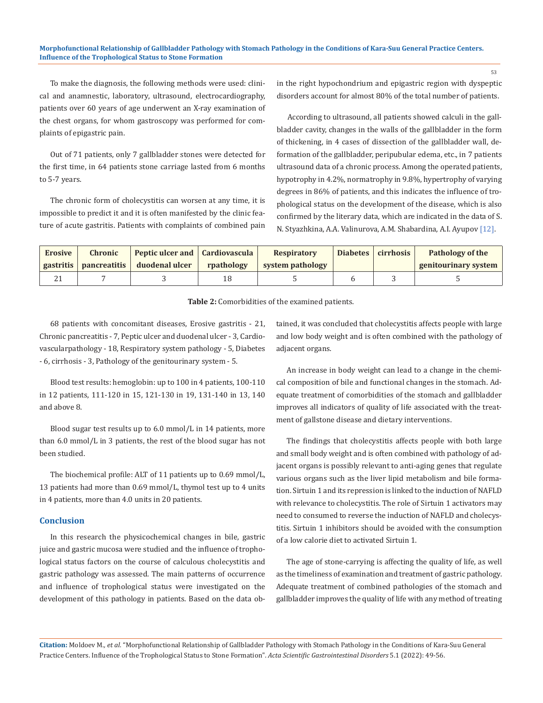#### **Morphofunctional Relationship of Gallbladder Pathology with Stomach Pathology in the Conditions of Kara-Suu General Practice Centers. Influence of the Trophological Status to Stone Formation**

To make the diagnosis, the following methods were used: clinical and anamnestic, laboratory, ultrasound, electrocardiography, patients over 60 years of age underwent an X-ray examination of the chest organs, for whom gastroscopy was performed for complaints of epigastric pain.

Out of 71 patients, only 7 gallbladder stones were detected for the first time, in 64 patients stone carriage lasted from 6 months to 5-7 years.

The chronic form of cholecystitis can worsen at any time, it is impossible to predict it and it is often manifested by the clinic feature of acute gastritis. Patients with complaints of combined pain in the right hypochondrium and epigastric region with dyspeptic disorders account for almost 80% of the total number of patients.

According to ultrasound, all patients showed calculi in the gallbladder cavity, changes in the walls of the gallbladder in the form of thickening, in 4 cases of dissection of the gallbladder wall, deformation of the gallbladder, peripubular edema, etc., in 7 patients ultrasound data of a chronic process. Among the operated patients, hypotrophy in 4.2%, normatrophy in 9.8%, hypertrophy of varying degrees in 86% of patients, and this indicates the influence of trophological status on the development of the disease, which is also confirmed by the literary data, which are indicated in the data of S. N. Styazhkina, A.A. Valinurova, A.M. Shabardina, A.I. Ayupov [12].

| Erosive | <b>Chronic</b>           | Peptic ulcer and   Cardiovascula |            | <b>Respiratory</b> | Diabetes cirrhosis | Pathology of the     |
|---------|--------------------------|----------------------------------|------------|--------------------|--------------------|----------------------|
|         | gastritis   pancreatitis | duodenal ulcer                   | rpathology | system pathology   |                    | genitourinary system |
| 41      |                          |                                  | 18         |                    |                    |                      |

**Table 2:** Сomorbidities of the examined patients.

68 patients with concomitant diseases, Erosive gastritis - 21, Chronic pancreatitis - 7, Peptic ulcer and duodenal ulcer - 3, Cardiovascularpathology - 18, Respiratory system pathology - 5, Diabetes - 6, cirrhosis - 3, Pathology of the genitourinary system - 5.

Blood test results: hemoglobin: up to 100 in 4 patients, 100-110 in 12 patients, 111-120 in 15, 121-130 in 19, 131-140 in 13, 140 and above 8.

Blood sugar test results up to 6.0 mmol/L in 14 patients, more than 6.0 mmol/L in 3 patients, the rest of the blood sugar has not been studied.

The biochemical profile: ALT of 11 patients up to 0.69 mmol/L, 13 patients had more than 0.69 mmol/L, thymol test up to 4 units in 4 patients, more than 4.0 units in 20 patients.

#### **Conclusion**

In this research the physicochemical changes in bile, gastric juice and gastric mucosa were studied and the influence of trophological status factors on the course of calculous cholecystitis and gastric pathology was assessed. The main patterns of occurrence and influence of trophological status were investigated on the development of this pathology in patients. Based on the data obtained, it was concluded that cholecystitis affects people with large and low body weight and is often combined with the pathology of adjacent organs.

An increase in body weight can lead to a change in the chemical composition of bile and functional changes in the stomach. Adequate treatment of comorbidities of the stomach and gallbladder improves all indicators of quality of life associated with the treatment of gallstone disease and dietary interventions.

The findings that cholecystitis affects people with both large and small body weight and is often combined with pathology of adjacent organs is possibly relevant to anti-aging genes that regulate various organs such as the liver lipid metabolism and bile formation. Sirtuin 1 and its repression is linked to the induction of NAFLD with relevance to cholecystitis. The role of Sirtuin 1 activators may need to consumed to reverse the induction of NAFLD and cholecystitis. Sirtuin 1 inhibitors should be avoided with the consumption of a low calorie diet to activated Sirtuin 1.

The age of stone-carrying is affecting the quality of life, as well as the timeliness of examination and treatment of gastric pathology. Adequate treatment of combined pathologies of the stomach and gallbladder improves the quality of life with any method of treating

**Citation:** Moldoev M*., et al.* "Morphofunctional Relationship of Gallbladder Pathology with Stomach Pathology in the Conditions of Kara-Suu General Practice Centers. Influence of the Trophological Status to Stone Formation". *Acta Scientific Gastrointestinal Disorders* 5.1 (2022): 49-56.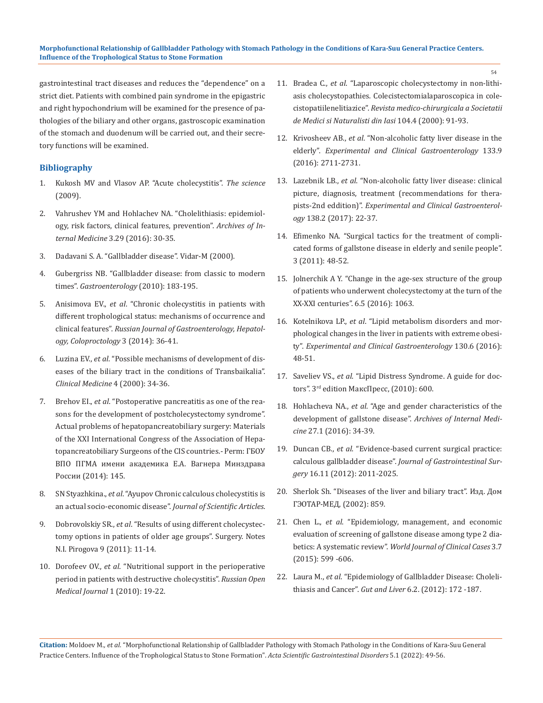gastrointestinal tract diseases and reduces the "dependence" on a strict diet. Patients with combined pain syndrome in the epigastric and right hypochondrium will be examined for the presence of pathologies of the biliary and other organs, gastroscopic examination of the stomach and duodenum will be carried out, and their secretory functions will be examined.

## **Bibliography**

- 1. [Kukosh МV and Vlasov AP. "Acute cholecystitis".](https://www.ncbi.nlm.nih.gov/pmc/articles/PMC1124163/) *The science* [\(2009\).](https://www.ncbi.nlm.nih.gov/pmc/articles/PMC1124163/)
- 2. Vahrushev YM and Hohlachev NA. "Cholelithiasis: epidemiology, risk factors, clinical features, prevention". *Archives of Internal Medicine* 3.29 (2016): 30-35.
- 3. Dadavani S. A. "Gallbladder disease". Vidar-М (2000).
- 4. Gubergriss NB. "Gallbladder disease: from classic to modern times". *Gastroenterology* (2010): 183-195.
- 5. Anisimova ЕV., *et al*. "Chronic cholecystitis in patients with different trophological status: mechanisms of occurrence and clinical features". *Russian Journal of Gastroenterology, Hepatology, Coloproctology* 3 (2014): 36-41.
- 6. Luzina EV., *et al*[. "Possible mechanisms of development of dis](https://pubmed.ncbi.nlm.nih.gov/10833888/)[eases of the biliary tract in the conditions of Transbaikalia".](https://pubmed.ncbi.nlm.nih.gov/10833888/)  *[Clinical Medicine](https://pubmed.ncbi.nlm.nih.gov/10833888/)* 4 (2000): 34-36.
- 7. Brehov EI., *et al*. "Postoperative pancreatitis as one of the reasons for the development of postcholecystectomy syndrome". Actual problems of hepatopancreatobiliary surgery: Materials of the XXI International Congress of the Association of Hepatopancreatobiliary Surgeons of the CIS countries.- Perm: ГБОУ ВПО ПГМА имени академика Е.А. Вагнера Минздрава России (2014): 145.
- 8. SN Styazhkina., *et al*. "Ayupov Chronic calculous cholecystitis is an actual socio-economic disease". *Journal of Scientific Articles*.
- 9. Dobrovolskiy SR., *et al*. "Results of using different cholecystectomy options in patients of older age groups". Surgery. Notes N.I. Pirogova 9 (2011): 11-14.
- 10. Dorofeev OV., *et al*. "Nutritional support in the perioperative period in patients with destructive cholecystitis". *Russian Open Medical Journal* 1 (2010): 19-22.
- 11. Bradea C., *et al*[. "Laparoscopic cholecystectomy in non-lithi](https://pubmed.ncbi.nlm.nih.gov/12089969/)[asis cholecystopathies. Colecistectomialaparoscopica in cole](https://pubmed.ncbi.nlm.nih.gov/12089969/)cistopatiilenelitiazice". *[Revista medico-chirurgicala a Societatii](https://pubmed.ncbi.nlm.nih.gov/12089969/)  [de Medici si Naturalisti din Iasi](https://pubmed.ncbi.nlm.nih.gov/12089969/)* 104.4 (2000): 91-93.
- 12. Krivosheev AB., *et al*[. "Non-alcoholic fatty liver disease in the](https://pubmed.ncbi.nlm.nih.gov/19690397/)  elderly". *[Experimental and Clinical Gastroenterology](https://pubmed.ncbi.nlm.nih.gov/19690397/)* 133.9 [\(2016\): 2711-2731.](https://pubmed.ncbi.nlm.nih.gov/19690397/)
- 13. Lazebnik LB., *et al*[. "Non-alcoholic fatty liver disease: clinical](https://www.mayoclinic.org/diseases-conditions/nonalcoholic-fatty-liver-disease/diagnosis-treatment/drc-20354573)  [picture, diagnosis, treatment \(recommendations for thera](https://www.mayoclinic.org/diseases-conditions/nonalcoholic-fatty-liver-disease/diagnosis-treatment/drc-20354573)pists-2nd eddition)". *[Experimental and Clinical Gastroenterol](https://www.mayoclinic.org/diseases-conditions/nonalcoholic-fatty-liver-disease/diagnosis-treatment/drc-20354573)ogy* [138.2 \(2017\): 22-37.](https://www.mayoclinic.org/diseases-conditions/nonalcoholic-fatty-liver-disease/diagnosis-treatment/drc-20354573)
- 14. Efimenko NA. "Surgical tactics for the treatment of complicated forms of gallstone disease in elderly and senile people". 3 (2011): 48-52.
- 15. Jolnerchik A Y. "Change in the age-sex structure of the group of patients who underwent cholecystectomy at the turn of the XX-XXI centuries". 6.5 (2016): 1063.
- 16. Kotelnikova LP., *et al*. "Lipid metabolism disorders and morphological changes in the liver in patients with extreme obesity". *Experimental and Clinical Gastroenterology* 130.6 (2016): 48-51.
- 17. Saveliev VS., *et al*. "Lipid Distress Syndrome. A guide for doctors". 3rd edition МаксПресс, (2010): 600.
- 18. Hohlacheva NA., *et al*. "Age and gender characteristics of the development of gallstone disease". *Archives of Internal Medicine* 27.1 (2016): 34-39.
- 19. Duncan CB., *et al*[. "Evidence-based current surgical practice:](https://pubmed.ncbi.nlm.nih.gov/22986769/)  calculous gallbladder disease". *[Journal of Gastrointestinal Sur](https://pubmed.ncbi.nlm.nih.gov/22986769/)gery* [16.11 \(2012\): 2011-2025.](https://pubmed.ncbi.nlm.nih.gov/22986769/)
- 20. [Sherlok Sh. "Diseases of the liver and biliary tract". Изд. Дом](https://www.ncbi.nlm.nih.gov/pmc/articles/PMC7315332/)  [ГЭОТАР-МЕД,](https://www.ncbi.nlm.nih.gov/pmc/articles/PMC7315332/) (2002): 859.
- 21. Chen L., *et al*[. "Epidemiology, management, and economic](https://www.ncbi.nlm.nih.gov/pmc/articles/PMC4517334/)  [evaluation of screening of gallstone disease among type 2 dia](https://www.ncbi.nlm.nih.gov/pmc/articles/PMC4517334/)betics: A systematic review". *[World Journal of Clinical Cases](https://www.ncbi.nlm.nih.gov/pmc/articles/PMC4517334/)* 3.7 [\(2015\): 599 -606.](https://www.ncbi.nlm.nih.gov/pmc/articles/PMC4517334/)
- 22. Laura M., *et al*. "Epidemiology of Gallbladder Disease: Cholelithiasis and Cancer". *Gut and Liver* 6.2. (2012): 172 -187.

**Citation:** Moldoev M*., et al.* "Morphofunctional Relationship of Gallbladder Pathology with Stomach Pathology in the Conditions of Kara-Suu General Practice Centers. Influence of the Trophological Status to Stone Formation". *Acta Scientific Gastrointestinal Disorders* 5.1 (2022): 49-56.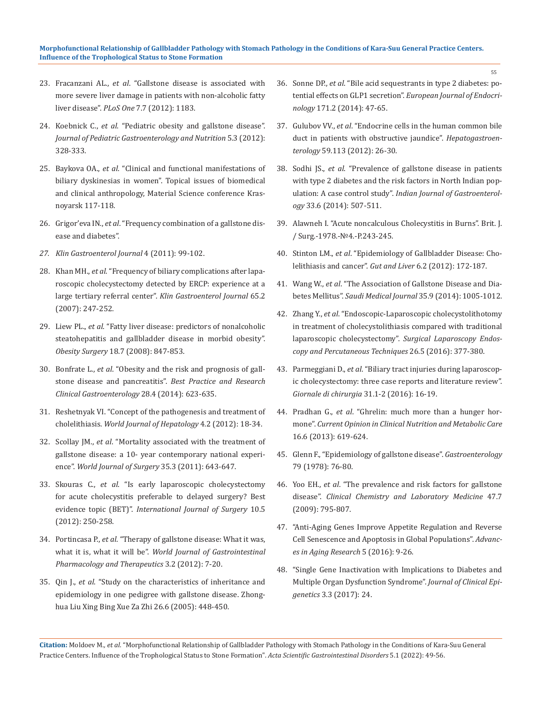- 23. Fracanzani AL., *et al*. "Gallstone disease is associated with more severe liver damage in patients with non-alcoholic fatty liver disease". *PLoS One* 7.7 (2012): 1183.
- 24. Koebnick C., *et al*. "Pediatric obesity and gallstone disease". *Journal of Pediatric Gastroenterology and Nutrition* 5.3 (2012): 328-333.
- 25. Baykova OA., *et al*. "Clinical and functional manifestations of biliary dyskinesias in women". Topical issues of biomedical and clinical anthropology, Material Science conference Krasnoyarsk 117-118.
- 26. Grigor'eva IN., *et al*. "Frequency combination of a gallstone disease and diabetes".
- *27. Klin Gastroenterol Journal* 4 (2011): 99-102.
- 28. Khan MH., *et al*. "Frequency of biliary complications after laparoscopic cholecystectomy detected by ERCP: experience at a large tertiary referral center". *Klin Gastroenterol Journal* 65.2 (2007): 247-252.
- 29. Liew PL., *et al*. "Fatty liver disease: predictors of nonalcoholic steatohepatitis and gallbladder disease in morbid obesity". *Obesity Surgery* 18.7 (2008): 847-853.
- 30. Bonfrate L., *et al*. "Obesity and the risk and prognosis of gallstone disease and pancreatitis". *Best Practice and Research Clinical Gastroenterology* 28.4 (2014): 623-635.
- 31. Reshetnyak VI. "Concept of the pathogenesis and treatment of cholelithiasis. *World Journal of Hepatology* 4.2 (2012): 18-34.
- 32. Scollay JM., *et al*. "Mortality associated with the treatment of gallstone disease: a 10- year contemporary national experience". *World Journal of Surgery* 35.3 (2011): 643-647.
- 33. Skouras C., *et al*. "Is early laparoscopic cholecystectomy for acute cholecystitis preferable to delayed surgery? Best evidence topic (BET)". *International Journal of Surgery* 10.5 (2012): 250-258.
- 34. Portincasa P., *et al*. "Therapy of gallstone disease: What it was, what it is, what it will be". *World Journal of Gastrointestinal Pharmacology and Therapeutics* 3.2 (2012): 7-20.
- 35. Qin J., *et al*. "Study on the characteristics of inheritance and epidemiology in one pedigree with gallstone disease. Zhonghua Liu Xing Bing Xue Za Zhi 26.6 (2005): 448-450.
- 36. Sonne DP., *et al*. "Bile acid sequestrants in type 2 diabetes: potential effects on GLP1 secretion". *European Journal of Endocrinology* 171.2 (2014): 47-65.
- 37. Gulubov VV., *et al*. "Endocrine cells in the human common bile duct in patients with obstructive jaundice". *Hepatogastroenterology* 59.113 (2012): 26-30.
- 38. Sodhi JS., *et al*. "Prevalence of gallstone disease in patients with type 2 diabetes and the risk factors in North Indian population: A case control study". *Indian Journal of Gastroenterology* 33.6 (2014): 507-511.
- 39. Alawneh I. "Acute noncalculous Cholecystitis in Burns". Brit. J. / Surg.-1978.-№4.-P.243-245.
- 40. Stinton LM., *et al*[. "Epidemiology of Gallbladder Disease: Cho](https://www.ncbi.nlm.nih.gov/pmc/articles/PMC3343155/)[lelithiasis and cancer".](https://www.ncbi.nlm.nih.gov/pmc/articles/PMC3343155/) *Gut and Liver* 6.2 (2012): 172-187.
- 41. Wang W., *et al*[. "The Association of Gallstone Disease and Dia](https://pubmed.ncbi.nlm.nih.gov/25228184/)betes Mellitus". *[Saudi Medical Journal](https://pubmed.ncbi.nlm.nih.gov/25228184/)* 35.9 (2014): 1005-1012.
- 42. Zhang Y., *et al*[. "Endoscopic-Laparoscopic cholecystolithotomy](https://www.ncbi.nlm.nih.gov/pmc/articles/PMC5054953/)  [in treatment of cholecystolithiasis compared with traditional](https://www.ncbi.nlm.nih.gov/pmc/articles/PMC5054953/)  laparoscopic cholecystectomy". *[Surgical Laparoscopy Endos](https://www.ncbi.nlm.nih.gov/pmc/articles/PMC5054953/)[copy and Percutaneous Techniques](https://www.ncbi.nlm.nih.gov/pmc/articles/PMC5054953/)* 26.5 (2016): 377-380.
- 43. Parmeggiani D., *et al*[. "Biliary tract injuries during laparoscop](https://pubmed.ncbi.nlm.nih.gov/20298660/)[ic cholecystectomy: three case reports and literature review".](https://pubmed.ncbi.nlm.nih.gov/20298660/)  *[Giornale di chirurgia](https://pubmed.ncbi.nlm.nih.gov/20298660/)* 31.1-2 (2016): 16-19.
- 44. Pradhan G., *et al*[. "Ghrelin: much more than a hunger hor](https://pubmed.ncbi.nlm.nih.gov/24100676/)mone". *[Current Opinion in Clinical Nutrition and Metabolic Care](https://pubmed.ncbi.nlm.nih.gov/24100676/)*  [16.6 \(2013\): 619-624.](https://pubmed.ncbi.nlm.nih.gov/24100676/)
- 45. Glenn F., "Epidemiology of gallstone disease". *Gastroenterology* 79 (1978): 76-80.
- 46. Yoo EH., *et al*[. "The prevalence and risk factors for gallstone](https://www.ncbi.nlm.nih.gov/pmc/articles/PMC4270735/)  disease". *[Clinical Chemistry and Laboratory Medicine](https://www.ncbi.nlm.nih.gov/pmc/articles/PMC4270735/)* 47.7 [\(2009\): 795-807.](https://www.ncbi.nlm.nih.gov/pmc/articles/PMC4270735/)
- 47. ["Anti-Aging Genes Improve Appetite Regulation and Reverse](https://www.scirp.org/journal/paperinformation.aspx?paperid=63098)  [Cell Senescence and Apoptosis in Global Populations".](https://www.scirp.org/journal/paperinformation.aspx?paperid=63098) *Advanc[es in Aging Research](https://www.scirp.org/journal/paperinformation.aspx?paperid=63098)* 5 (2016): 9-26.
- 48. ["Single Gene Inactivation with Implications to Diabetes and](https://clinical-epigenetics.imedpub.com/single-gene-inactivation-with-implications-to-diabetes-and-multiple-organ-dysfunction-syndrome.php?aid=19853)  [Multiple Organ Dysfunction Syndrome".](https://clinical-epigenetics.imedpub.com/single-gene-inactivation-with-implications-to-diabetes-and-multiple-organ-dysfunction-syndrome.php?aid=19853) *Journal of Clinical Epigenetics* [3.3 \(2017\): 24.](https://clinical-epigenetics.imedpub.com/single-gene-inactivation-with-implications-to-diabetes-and-multiple-organ-dysfunction-syndrome.php?aid=19853)

**Citation:** Moldoev M*., et al.* "Morphofunctional Relationship of Gallbladder Pathology with Stomach Pathology in the Conditions of Kara-Suu General Practice Centers. Influence of the Trophological Status to Stone Formation". *Acta Scientific Gastrointestinal Disorders* 5.1 (2022): 49-56.